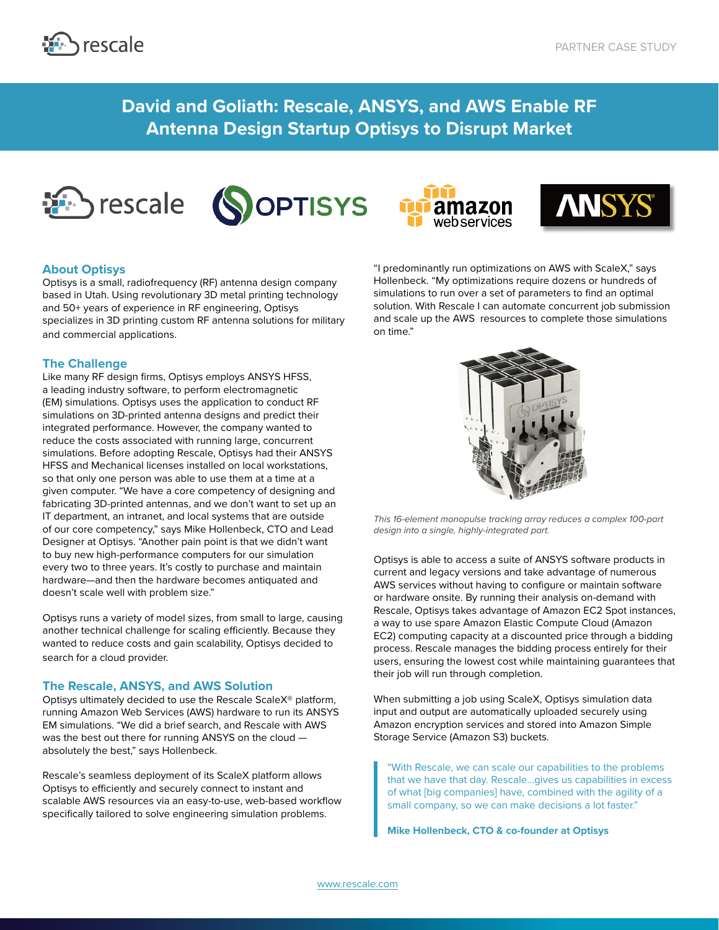

**David and Goliath: Rescale, ANSYS, and AWS Enable RF Antenna Design Startup Optisys to Disrupt Market**









## **About Optisys**

Optisys is a small, radiofrequency (RF) antenna design company based in Utah. Using revolutionary 3D metal printing technology and 50+ years of experience in RF engineering, Optisys specializes in 3D printing custom RF antenna solutions for military and commercial applications.

### **The Challenge**

Like many RF design firms, Optisys employs ANSYS HFSS, a leading industry software, to perform electromagnetic (EM) simulations. Optisys uses the application to conduct RF simulations on 3D-printed antenna designs and predict their integrated performance. However, the company wanted to reduce the costs associated with running large, concurrent simulations. Before adopting Rescale, Optisys had their ANSYS HFSS and Mechanical licenses installed on local workstations, so that only one person was able to use them at a time at a given computer. "We have a core competency of designing and fabricating 3D-printed antennas, and we don't want to set up an IT department, an intranet, and local systems that are outside of our core competency," says Mike Hollenbeck, CTO and Lead Designer at Optisys. "Another pain point is that we didn't want to buy new high-performance computers for our simulation every two to three years. It's costly to purchase and maintain hardware—and then the hardware becomes antiquated and doesn't scale well with problem size."

Optisys runs a variety of model sizes, from small to large, causing another technical challenge for scaling efficiently. Because they wanted to reduce costs and gain scalability, Optisys decided to search for a cloud provider.

### **The Rescale, ANSYS, and AWS Solution**

Optisys ultimately decided to use the Rescale ScaleX® platform, running Amazon Web Services (AWS) hardware to run its ANSYS EM simulations. "We did a brief search, and Rescale with AWS was the best out there for running ANSYS on the cloud absolutely the best," says Hollenbeck.

Rescale's seamless deployment of its ScaleX platform allows Optisys to efficiently and securely connect to instant and scalable AWS resources via an easy-to-use, web-based workflow specifically tailored to solve engineering simulation problems.

"I predominantly run optimizations on AWS with ScaleX," says Hollenbeck. "My optimizations require dozens or hundreds of simulations to run over a set of parameters to find an optimal solution. With Rescale I can automate concurrent job submission and scale up the AWS resources to complete those simulations on time."



*This 16-element monopulse tracking array reduces a complex 100-part design into a single, highly-integrated part.* 

Optisys is able to access a suite of ANSYS software products in current and legacy versions and take advantage of numerous AWS services without having to configure or maintain software or hardware onsite. By running their analysis on-demand with Rescale, Optisys takes advantage of Amazon EC2 Spot instances, a way to use spare Amazon Elastic Compute Cloud (Amazon EC2) computing capacity at a discounted price through a bidding process. Rescale manages the bidding process entirely for their users, ensuring the lowest cost while maintaining guarantees that their job will run through completion.

When submitting a job using ScaleX, Optisys simulation data input and output are automatically uploaded securely using Amazon encryption services and stored into Amazon Simple Storage Service (Amazon S3) buckets.

"With Rescale, we can scale our capabilities to the problems that we have that day. Rescale...gives us capabilities in excess of what [big companies] have, combined with the agility of a small company, so we can make decisions a lot faster."

**Mike Hollenbeck, CTO & co-founder at Optisys**